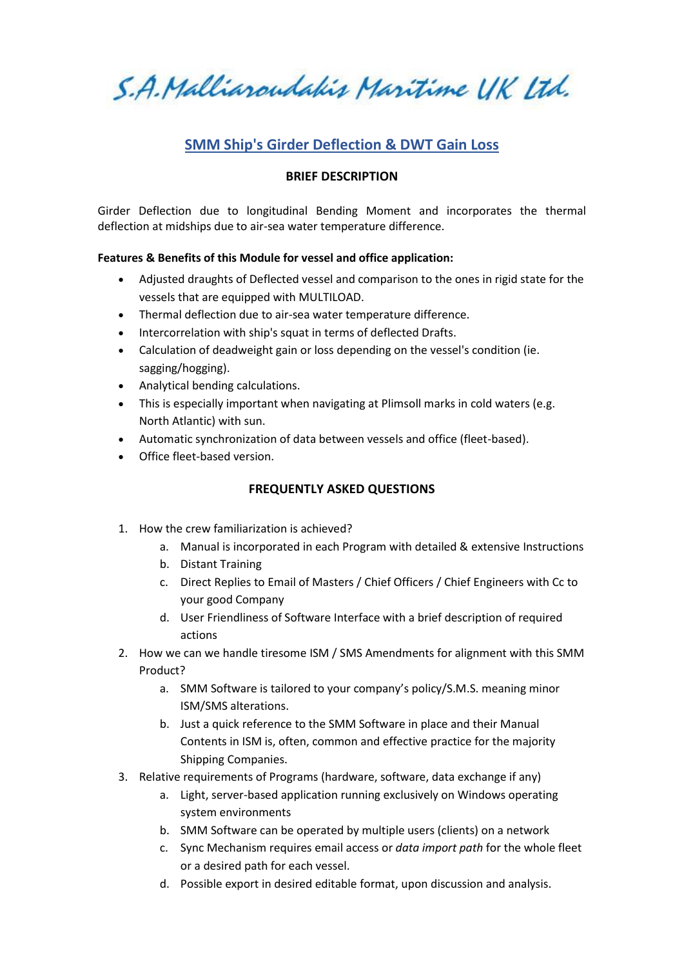S.A. Malliaroudakis Maritime UK Ltd.

# **SMM Ship's Girder Deflection & DWT Gain Loss**

### **BRIEF DESCRIPTION**

Girder Deflection due to longitudinal Bending Moment and incorporates the thermal deflection at midships due to air-sea water temperature difference.

### **Features & Benefits of this Module for vessel and office application:**

- Adjusted draughts of Deflected vessel and comparison to the ones in rigid state for the vessels that are equipped with MULTILOAD.
- Thermal deflection due to air-sea water temperature difference.
- Intercorrelation with ship's squat in terms of deflected Drafts.
- Calculation of deadweight gain or loss depending on the vessel's condition (ie. sagging/hogging).
- Analytical bending calculations.
- This is especially important when navigating at Plimsoll marks in cold waters (e.g. North Atlantic) with sun.
- Automatic synchronization of data between vessels and office (fleet-based).
- Office fleet-based version.

## **FREQUENTLY ASKED QUESTIONS**

- 1. How the crew familiarization is achieved?
	- a. Manual is incorporated in each Program with detailed & extensive Instructions
	- b. Distant Training
	- c. Direct Replies to Email of Masters / Chief Officers / Chief Engineers with Cc to your good Company
	- d. User Friendliness of Software Interface with a brief description of required actions
- 2. How we can we handle tiresome ISM / SMS Amendments for alignment with this SMM Product?
	- a. SMM Software is tailored to your company's policy/S.M.S. meaning minor ISM/SMS alterations.
	- b. Just a quick reference to the SMM Software in place and their Manual Contents in ISM is, often, common and effective practice for the majority Shipping Companies.
- 3. Relative requirements of Programs (hardware, software, data exchange if any)
	- a. Light, server-based application running exclusively on Windows operating system environments
	- b. SMM Software can be operated by multiple users (clients) on a network
	- c. Sync Mechanism requires email access or *data import path* for the whole fleet or a desired path for each vessel.
	- d. Possible export in desired editable format, upon discussion and analysis.